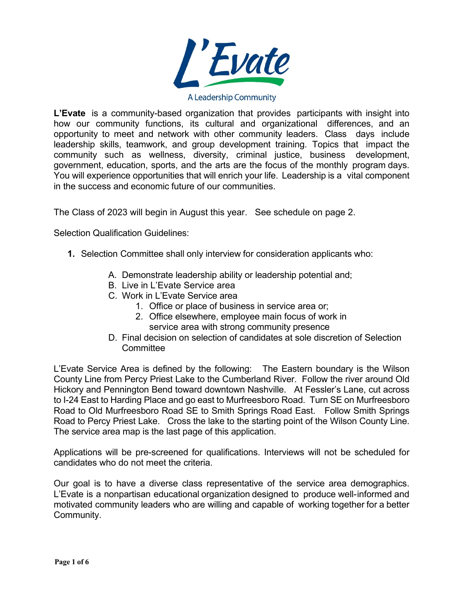

A Leadership Community

**L'Evate** is a community-based organization that provides participants with insight into how our community functions, its cultural and organizational differences, and an opportunity to meet and network with other community leaders. Class days include leadership skills, teamwork, and group development training. Topics that impact the community such as wellness, diversity, criminal justice, business development, government, education, sports, and the arts are the focus of the monthly program days. You will experience opportunities that will enrich your life. Leadership is a vital component in the success and economic future of our communities.

The Class of 2023 will begin in August this year. See schedule on page 2.

Selection Qualification Guidelines:

- **1.** Selection Committee shall only interview for consideration applicants who:
	- A. Demonstrate leadership ability or leadership potential and;
	- B. Live in L'Evate Service area
	- C. Work in L'Evate Service area
		- 1. Office or place of business in service area or;
		- 2. Office elsewhere, employee main focus of work in service area with strong community presence
	- D. Final decision on selection of candidates at sole discretion of Selection **Committee**

L'Evate Service Area is defined by the following: The Eastern boundary is the Wilson County Line from Percy Priest Lake to the Cumberland River. Follow the river around Old Hickory and Pennington Bend toward downtown Nashville. At Fessler's Lane, cut across to I-24 East to Harding Place and go east to Murfreesboro Road. Turn SE on Murfreesboro Road to Old Murfreesboro Road SE to Smith Springs Road East. Follow Smith Springs Road to Percy Priest Lake. Cross the lake to the starting point of the Wilson County Line. The service area map is the last page of this application.

Applications will be pre-screened for qualifications. Interviews will not be scheduled for candidates who do not meet the criteria.

Our goal is to have a diverse class representative of the service area demographics. L'Evate is a nonpartisan educational organization designed to produce well-informed and motivated community leaders who are willing and capable of working together for a better Community.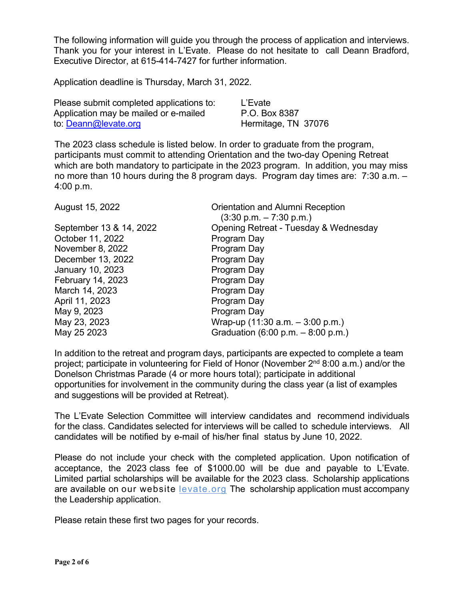The following information will guide you through the process of application and interviews. Thank you for your interest in L'Evate. Please do not hesitate to call Deann Bradford, Executive Director, at 615-414-7427 for further information.

Application deadline is Thursday, March 31, 2022.

| Please submit completed applications to: | L'Evate             |
|------------------------------------------|---------------------|
| Application may be mailed or e-mailed    | P.O. Box 8387       |
| to: Deann@levate.org                     | Hermitage, TN 37076 |

The 2023 class schedule is listed below. In order to graduate from the program, participants must commit to attending Orientation and the two-day Opening Retreat which are both mandatory to participate in the 2023 program. In addition, you may miss no more than 10 hours during the 8 program days. Program day times are: 7:30 a.m. – 4:00 p.m.

| August 15, 2022         | Orientation and Alumni Reception<br>$(3:30 \text{ p.m.} - 7:30 \text{ p.m.})$ |
|-------------------------|-------------------------------------------------------------------------------|
| September 13 & 14, 2022 | Opening Retreat - Tuesday & Wednesday                                         |
| October 11, 2022        | Program Day                                                                   |
| November 8, 2022        | Program Day                                                                   |
| December 13, 2022       | Program Day                                                                   |
| January 10, 2023        | Program Day                                                                   |
| February 14, 2023       | Program Day                                                                   |
| March 14, 2023          | Program Day                                                                   |
| April 11, 2023          | Program Day                                                                   |
| May 9, 2023             | Program Day                                                                   |
| May 23, 2023            | Wrap-up $(11:30$ a.m. $-3:00$ p.m.)                                           |
| May 25 2023             | Graduation $(6:00 \text{ p.m.} - 8:00 \text{ p.m.})$                          |
|                         |                                                                               |

In addition to the retreat and program days, participants are expected to complete a team project; participate in volunteering for Field of Honor (November 2nd 8:00 a.m.) and/or the Donelson Christmas Parade (4 or more hours total); participate in additional opportunities for involvement in the community during the class year (a list of examples and suggestions will be provided at Retreat).

The L'Evate Selection Committee will interview candidates and recommend individuals for the class. Candidates selected for interviews will be called to schedule interviews. All candidates will be notified by e-mail of his/her final status by June 10, 2022.

Please do not include your check with the completed application. Upon notification of acceptance, the 2023 class fee of \$1000.00 will be due and payable to L'Evate. Limited partial scholarships will be available for the 2023 class. Scholarship applications are available on our website levate.org The scholarship application must accompany the Leadership application.

Please retain these first two pages for your records.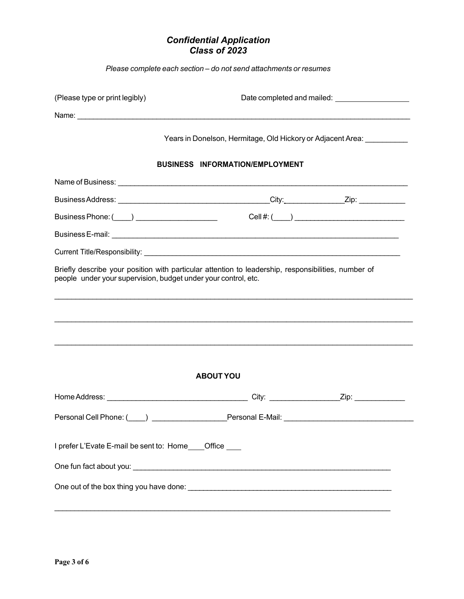## *Confidential Application Class of 2023*

*Please complete each section – do not send attachments or resumes*

| (Please type or print legibly)                                                                                                                                        |                                                                                   |  |  |  |
|-----------------------------------------------------------------------------------------------------------------------------------------------------------------------|-----------------------------------------------------------------------------------|--|--|--|
|                                                                                                                                                                       |                                                                                   |  |  |  |
|                                                                                                                                                                       | Years in Donelson, Hermitage, Old Hickory or Adjacent Area: University Manuscript |  |  |  |
| <b>BUSINESS INFORMATION/EMPLOYMENT</b>                                                                                                                                |                                                                                   |  |  |  |
|                                                                                                                                                                       |                                                                                   |  |  |  |
|                                                                                                                                                                       |                                                                                   |  |  |  |
|                                                                                                                                                                       |                                                                                   |  |  |  |
|                                                                                                                                                                       |                                                                                   |  |  |  |
|                                                                                                                                                                       |                                                                                   |  |  |  |
| Briefly describe your position with particular attention to leadership, responsibilities, number of<br>people under your supervision, budget under your control, etc. |                                                                                   |  |  |  |
|                                                                                                                                                                       |                                                                                   |  |  |  |
|                                                                                                                                                                       |                                                                                   |  |  |  |
|                                                                                                                                                                       |                                                                                   |  |  |  |
| <b>ABOUT YOU</b>                                                                                                                                                      |                                                                                   |  |  |  |
|                                                                                                                                                                       |                                                                                   |  |  |  |
| Personal Cell Phone: (Compared to the Comparence Personal E-Mail: Comparence Personal E-Mail:                                                                         |                                                                                   |  |  |  |
| I prefer L'Evate E-mail be sent to: Home ____ Office ____                                                                                                             |                                                                                   |  |  |  |
|                                                                                                                                                                       |                                                                                   |  |  |  |
|                                                                                                                                                                       |                                                                                   |  |  |  |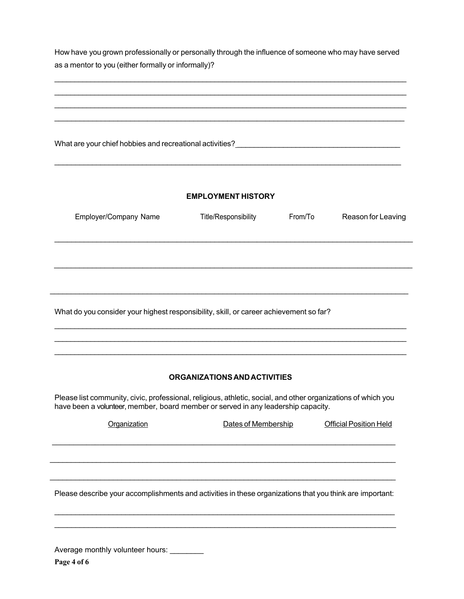How have you grown professionally or personally through the influence of someone who may have served as a mentor to you (either formally or informally)?

\_\_\_\_\_\_\_\_\_\_\_\_\_\_\_\_\_\_\_\_\_\_\_\_\_\_\_\_\_\_\_\_\_\_\_\_\_\_\_\_\_\_\_\_\_\_\_\_\_\_\_\_\_\_\_\_\_\_\_\_\_\_\_\_\_\_\_\_\_\_\_\_\_\_\_\_\_\_\_\_\_\_\_\_\_\_\_\_ \_\_\_\_\_\_\_\_\_\_\_\_\_\_\_\_\_\_\_\_\_\_\_\_\_\_\_\_\_\_\_\_\_\_\_\_\_\_\_\_\_\_\_\_\_\_\_\_\_\_\_\_\_\_\_\_\_\_\_\_\_\_\_\_\_\_\_\_\_\_\_\_\_\_\_\_\_\_\_\_\_\_\_\_\_\_\_\_ \_\_\_\_\_\_\_\_\_\_\_\_\_\_\_\_\_\_\_\_\_\_\_\_\_\_\_\_\_\_\_\_\_\_\_\_\_\_\_\_\_\_\_\_\_\_\_\_\_\_\_\_\_\_\_\_\_\_\_\_\_\_\_\_\_\_\_\_\_\_\_\_\_\_\_\_\_\_\_\_\_\_\_\_\_\_\_\_ \_\_\_\_\_\_\_\_\_\_\_\_\_\_\_\_\_\_\_\_\_\_\_\_\_\_\_\_\_\_\_\_\_\_\_\_\_\_\_\_\_\_\_\_\_\_\_\_\_\_\_\_\_\_\_\_\_\_\_\_\_\_\_\_\_\_\_\_\_\_\_\_\_\_\_\_\_\_\_\_\_\_\_

What are your chief hobbies and recreational activities? \_\_\_\_\_\_\_\_\_\_\_\_\_\_\_\_\_\_\_\_\_\_\_\_\_\_\_\_\_\_\_\_\_\_\_\_\_\_\_

## **EMPLOYMENT HISTORY**

\_\_\_\_\_\_\_\_\_\_\_\_\_\_\_\_\_\_\_\_\_\_\_\_\_\_\_\_\_\_\_\_\_\_\_\_\_\_\_\_\_\_\_\_\_\_\_\_\_\_\_\_\_\_\_\_\_\_\_\_\_\_\_\_\_\_\_\_\_\_\_\_\_\_\_\_\_\_\_\_\_\_\_

| Employer/Company Name | Title/Responsibility | From/To | Reason for Leaving |
|-----------------------|----------------------|---------|--------------------|
|                       |                      |         |                    |
|                       |                      |         |                    |
|                       |                      |         |                    |
|                       |                      |         |                    |
|                       |                      |         |                    |

What do you consider your highest responsibility, skill, or career achievement so far?

## **ORGANIZATIONSANDACTIVITIES**

\_\_\_\_\_\_\_\_\_\_\_\_\_\_\_\_\_\_\_\_\_\_\_\_\_\_\_\_\_\_\_\_\_\_\_\_\_\_\_\_\_\_\_\_\_\_\_\_\_\_\_\_\_\_\_\_\_\_\_\_\_\_\_\_\_\_\_\_\_\_\_\_\_\_\_\_\_\_\_\_\_\_\_\_\_\_\_\_ \_\_\_\_\_\_\_\_\_\_\_\_\_\_\_\_\_\_\_\_\_\_\_\_\_\_\_\_\_\_\_\_\_\_\_\_\_\_\_\_\_\_\_\_\_\_\_\_\_\_\_\_\_\_\_\_\_\_\_\_\_\_\_\_\_\_\_\_\_\_\_\_\_\_\_\_\_\_\_\_\_\_\_\_\_\_\_\_ \_\_\_\_\_\_\_\_\_\_\_\_\_\_\_\_\_\_\_\_\_\_\_\_\_\_\_\_\_\_\_\_\_\_\_\_\_\_\_\_\_\_\_\_\_\_\_\_\_\_\_\_\_\_\_\_\_\_\_\_\_\_\_\_\_\_\_\_\_\_\_\_\_\_\_\_\_\_\_\_\_\_\_\_\_\_\_\_

Please list community, civic, professional, religious, athletic, social, and other organizations of which you have been a volunteer, member, board member or served in any leadership capacity.

| Organization | Dates of Membership | <b>Official Position Held</b> |
|--------------|---------------------|-------------------------------|
|              |                     |                               |
|              |                     |                               |
|              |                     |                               |

Please describe your accomplishments and activities in these organizations that you think are important:

\_\_\_\_\_\_\_\_\_\_\_\_\_\_\_\_\_\_\_\_\_\_\_\_\_\_\_\_\_\_\_\_\_\_\_\_\_\_\_\_\_\_\_\_\_\_\_\_\_\_\_\_\_\_\_\_\_\_\_\_\_\_\_\_\_\_\_\_\_\_\_\_\_\_\_\_\_\_\_\_\_\_\_ \_\_\_\_\_\_\_\_\_\_\_\_\_\_\_\_\_\_\_\_\_\_\_\_\_\_\_\_\_\_\_\_\_\_\_\_\_\_\_\_\_\_\_\_\_\_\_\_\_\_\_\_\_\_\_\_\_\_\_\_\_\_\_\_\_\_\_\_\_\_\_\_\_\_\_\_\_\_\_\_\_

\_\_\_\_\_\_\_\_\_\_\_\_\_\_\_\_\_\_\_\_\_\_\_\_\_\_\_\_\_\_\_\_\_\_\_\_\_\_\_\_\_\_\_\_\_\_\_\_\_\_\_\_\_\_\_\_\_\_\_\_\_\_\_\_\_\_\_\_\_\_\_\_\_\_\_\_\_\_\_\_\_\_

Average monthly volunteer hours:

**Page 4 of 6**